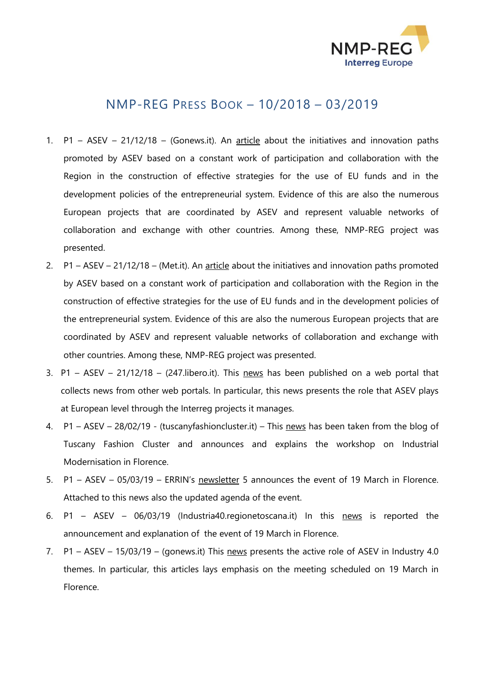

## NMP-REG PRESS BOOK – 10/2018 – 03/2019

- 1. P1 ASEV 21/12/18 (Gonews.it). An [article](https://www.gonews.it/2018/12/21/progetti-europei-asev-al-servizio-delle-strategie-regionali-linnovazione/) about the initiatives and innovation paths promoted by ASEV based on a constant work of participation and collaboration with the Region in the construction of effective strategies for the use of EU funds and in the development policies of the entrepreneurial system. Evidence of this are also the numerous European projects that are coordinated by ASEV and represent valuable networks of collaboration and exchange with other countries. Among these, NMP-REG project was presented.
- 2. P1 ASEV 21/12/18 (Met.it). An [article](http://met.cittametropolitana.fi.it/news.aspx?n=282451) about the initiatives and innovation paths promoted by ASEV based on a constant work of participation and collaboration with the Region in the construction of effective strategies for the use of EU funds and in the development policies of the entrepreneurial system. Evidence of this are also the numerous European projects that are coordinated by ASEV and represent valuable networks of collaboration and exchange with other countries. Among these, NMP-REG project was presented.
- 3. P1 ASEV 21/12/18 (247. libero. it). This [news](http://247.libero.it/rfocus/37301865/3/i-progetti-europei-di-asev-al-servizio-delle-strategie-regionali-per-l-innovazione/) has been published on a web portal that collects news from other web portals. In particular, this news presents the role that ASEV plays at European level through the Interreg projects it manages.
- 4. P1 ASEV 28/02/19 (tuscanyfashioncluster.it) This [news](http://www.tuscanyfashioncluster.it/1623-2/) has been taken from the blog of Tuscany Fashion Cluster and announces and explains the workshop on Industrial Modernisation in Florence.
- 5. P1 ASEV 05/03/19 ERRIN's [newsletter](https://mailchi.mp/ee3384a97622/errin-newsletter-5-march-2019?e=289c72318c) 5 announces the event of 19 March in Florence. Attached to this news also the updated agenda of the event.
- 6. P1 ASEV 06/03/19 (Industria40.regionetoscana.it) In this [news](http://industria40.regione.toscana.it/-/industrial-modernisation-and-interregional-cooperation) is reported the announcement and explanation of the event of 19 March in Florence.
- 7. P1 ASEV 15/03/19 (gonews.it) This [news](https://www.gonews.it/2019/03/15/industria-4-0-workshop-internazionale-asev/) presents the active role of ASEV in Industry 4.0 themes. In particular, this articles lays emphasis on the meeting scheduled on 19 March in Florence.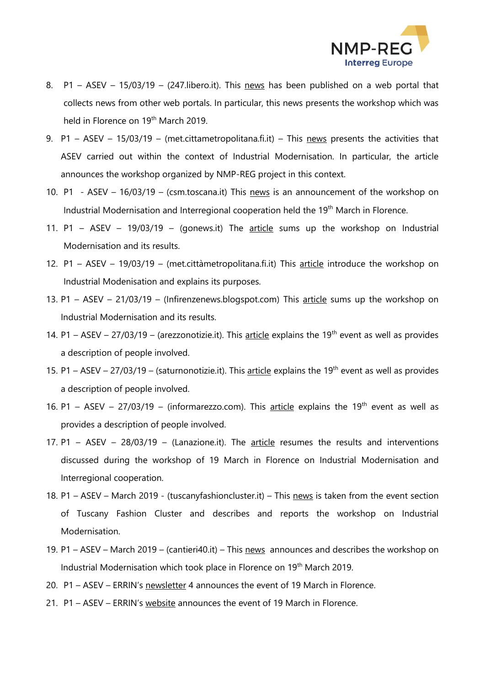

- 8. P1 ASEV 15/03/19 (247.libero.it). This [news](http://247.libero.it/rfocus/38042362/2/industria-4-0-workshop-internazionale-di-asev/) has been published on a web portal that collects news from other web portals. In particular, this news presents the workshop which was held in Florence on 19<sup>th</sup> March 2019.
- 9. P1 ASEV 15/03/19 (met.cittametropolitana.fi.it) This [news](http://met.cittametropolitana.fi.it/news.aspx?n=287583) presents the activities that ASEV carried out within the context of Industrial Modernisation. In particular, the article announces the workshop organized by NMP-REG project in this context.
- 10. P1 ASEV 16/03/19 (csm.toscana.it) This [news](http://csm.toscana.it/it/1317/Workshop-Interregionale-“Industrial-Modernization-and-Interregional-Cooperation”.htm) is an announcement of the workshop on Industrial Modernisation and Interregional cooperation held the 19<sup>th</sup> March in Florence.
- 11. P1 ASEV 19/03/19 (gonews.it) The  $\frac{aricle}{\text{article}}$  $\frac{aricle}{\text{article}}$  $\frac{aricle}{\text{article}}$  sums up the workshop on Industrial Modernisation and its results.
- 12. P1 ASEV 19/03/19 (met.cittàmetropolitana.fi.it) This [article](http://met.cittametropolitana.fi.it/news.aspx?n=287839) introduce the workshop on Industrial Modenisation and explains its purposes.
- 13. P1 ASEV 21/03/19 (Infirenzenews.blogspot.com) This [article](https://infirenzenews.blogspot.com/2019/03/a-firenze-un-workshop-internazionale-di.html?m=1) sums up the workshop on Industrial Modernisation and its results.
- 14. P1 ASEV 27/03/19 (arezzonotizie.it). This [article](http://www.arezzonotizie.it/economia/arezzo-innovazione-asved-firenze.html) explains the 19<sup>th</sup> event as well as provides a description of people involved.
- 15. P1 ASEV 27/03/19 (saturnonotizie.it). This [article](http://www3.saturnonotizie.it/news/read/132271/risultati-arezzo-industria.html) explains the 19<sup>th</sup> event as well as provides a description of people involved.
- 16. P1 ASEV 27/03/19 (informarezzo.com). This [article](http://www.informarezzo.com/new/index.php/2019/03/27/tre-anni-di-progetti-di-cooperazione-internazionale-nellindustria-4-0/) explains the 19<sup>th</sup> event as well as provides a description of people involved.
- 17. P1 ASEV 28/03/19 (Lanazione.it). The [article](https://www.lanazione.it/arezzo/cronaca/arezzo-innovazione-tre-anni-di-cooperazione-internazionale-1.4512978) resumes the results and interventions discussed during the workshop of 19 March in Florence on Industrial Modernisation and Interregional cooperation.
- 18. P1 ASEV March 2019 (tuscanyfashioncluster.it) This [news](http://www.tuscanyfashioncluster.it/?event=workshop-interregionale-industrial-modernization-and-interregional-cooperation&event_date=2019-03-19) is taken from the event section of Tuscany Fashion Cluster and describes and reports the workshop on Industrial Modernisation.
- 19. P1 ASEV March 2019 (cantieri40.it) This [news](http://www.cantieri40.it/i40/cantieri40_regionetoscana.php?form_edit_id=12) announces and describes the workshop on Industrial Modernisation which took place in Florence on 19<sup>th</sup> March 2019.
- 20. P1 ASEV ERRIN's [newsletter](https://mailchi.mp/9930db6eed21/errin-newsletter-4-february-2019?e=289c72318c) 4 announces the event of 19 March in Florence.
- 21. P1 ASEV ERRIN's [website](https://errin.eu/events/nmp-regtrinno-interregional-workshop-industrial-modernisation-and-interregional-cooperation) announces the event of 19 March in Florence.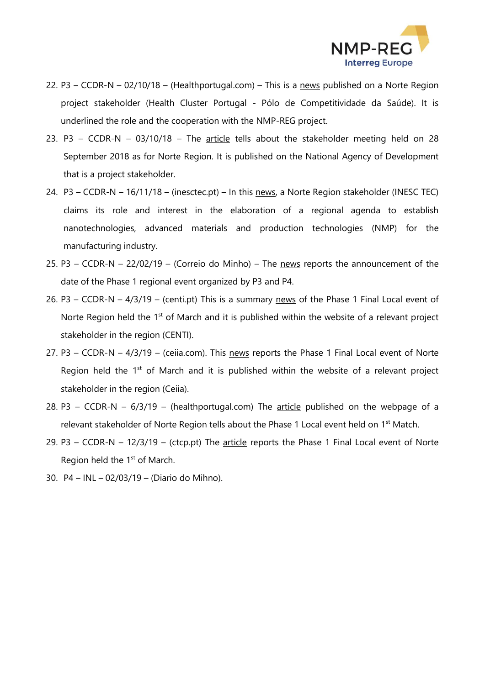

- 22. P3 CCDR-N 02/10/18 (Healthportugal.com) This is a [news](http://healthportugal.com/noticias/hcp-colabora-no-projeto-europeu-nmp-reg) published on a Norte Region project stakeholder (Health Cluster Portugal - Pólo de Competitividade da Saúde). It is underlined the role and the cooperation with the NMP-REG project.
- 23. P3 CCDR-N 03/10/18 The [article](https://www.ani.pt/pt/noticias/noticias-ani/projeto-nmp-reg-interreg-europe/) tells about the stakeholder meeting held on 28 September 2018 as for Norte Region. It is published on the National Agency of Development that is a project stakeholder.
- 24. P3 CCDR-N 16/11/18 (inesctec.pt) In this [news,](https://www.inesctec.pt/en/news/inesc-tec-becomes-a-partner-of-the-north-regional-agenda-for-the-nanotechnologies#about) a Norte Region stakeholder (INESC TEC) claims its role and interest in the elaboration of a regional agenda to establish nanotechnologies, advanced materials and production technologies (NMP) for the manufacturing industry.
- 25. P3 CCDR-N 22/02/19 (Correio do Minho) The [news](http://www.pt.cision.com/cp2013/ClippingDetails.aspx?id=74c9e9db-d933-48d9-95aa-ef3ea4428507&analises=1) reports the announcement of the date of the Phase 1 regional event organized by P3 and P4.
- 26. P3 CCDR-N 4/3/19 (centi.pt) This is a summary [news](https://www.centi.pt/comunicacao/centi-promove-nanotecnologia-na-regiao-norte) of the Phase 1 Final Local event of Norte Region held the 1<sup>st</sup> of March and it is published within the website of a relevant project stakeholder in the region (CENTI).
- 27. P3 CCDR-N 4/3/19 (ceiia.com). This [news](https://www.ceiia.com/single-post/2019/03/04/Agentes-regionais-discutem-plano-de-a%C3%A7%C3%A3o-no-%C3%A2mbito-do-projeto-NMP-REG) reports the Phase 1 Final Local event of Norte Region held the  $1<sup>st</sup>$  of March and it is published within the website of a relevant project stakeholder in the region (Ceiia).
- 28. P3 CCDR-N  $6/3/19$  (healthportugal.com) The [article](http://healthportugal.com/noticias/hcp-participou-em-reuniao-do-projeto-nmp-reg) published on the webpage of a relevant stakeholder of Norte Region tells about the Phase 1 Local event held on 1<sup>st</sup> Match.
- 29. P3 CCDR-N 12/3/19 (ctcp.pt) The [article](https://www.ctcp.pt/noticias.asp?op=Mg==&id=NDAwNQ==&idmp=MA==) reports the Phase 1 Final Local event of Norte Region held the 1<sup>st</sup> of March.
- 30. P4 INL 02/03/19 (Diario do Mihno).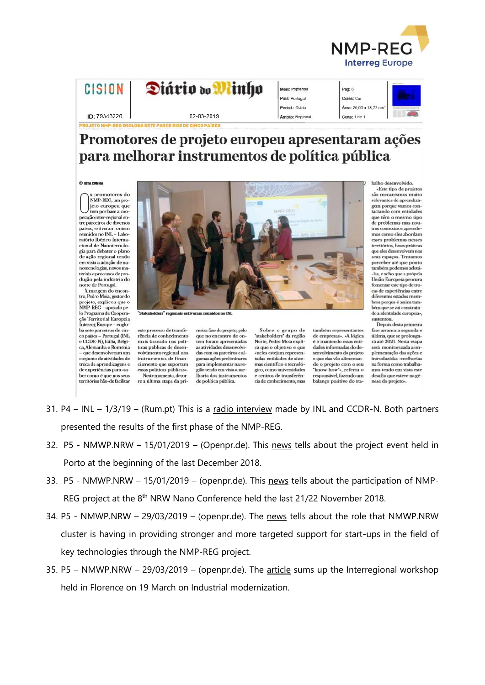

| <b>CISION</b> |  |
|---------------|--|
|               |  |

| Diário do |  | inho |  |
|-----------|--|------|--|
|           |  |      |  |

02-03-2019

| Meio: Imprensa   |
|------------------|
| País: Portugal   |
| Period.: Diária  |
| Ambito: Regional |

## Pág: 8 Cores: Cor Area: 26.00 x 18.72 c Corte: 1 de 1

 $ID: 79343220$ 

## Promotores de projeto europeu apresentaram ações para melhorar instrumentos de política pública

## **E RITA CUNH**

promotores do NMP-REG. um projeto europeu que tem por base a cooperação inter-regional entre parceiros de diversos países, estiveram ontem reunidos no INL-Laboratório Ibérico Internacional de Nanotecnologia para debater o plano<br>de ação regional tendo em vista a adoção de nanotecnologias, novos materiais e processos de pro-<br>dução pela indústria do<br>norte de Portugal.

À margem do encontro, Pedro Moia, gestor do projeto, explicou que o<br>NMP-REG – apoiado pe-<br>lo Programa de Cooperacão Territorial Europeia Interreg Europe - engloba sete parceiros de cin-<br>co países - Portugal (INL e CCDR-N). Itália. Bélgica, Alemanha e Roménia - que desenvolveram um conjunto de atividades de troca de aprendizagens e de experiências para «saber como é que nos seus territórios hão-de facilitar



is estiveram reur  $"$ rec **s** no INL

este processo de transfe-<br>rência de conhecimento mais baseado nas políticas públicas de desenvolvimento regional nos instrumentos de financiamento que suportam essas políticas públicas». Neste momento, decorre a última etapa da pri-

meira fase do projeto, pelo<br>que no encontro de ontem foram apresentadas as atividades desenvolvidas com os parceiros e algumas ações preliminares para implementar na região tendo em vista a melhoria dos instrumentos de política pública.

Sobre o grupo de<br>"stakeholders" da região Norte, Pedro Moia explica que o objetivo é que «neles estejam represen-<br>tadas entidades de sistemas científico e tecnológico, como universidades e centros de transferência de conhecimento, mas

também representantes de empresas». «A lógica é ir mantendo essas entidades informadas do desenvolvimento do projeto<br>e que elas vão alimentando o projeto com o seu "know-how"», referiu o responsável, fazendo um balanço positivo do tra-

«Este tipo de projetos<br>são mecanismos muito relevantes de aprendizagern porque vamos contactando com entidades que têm o mesmo tipo

balho desenvolvido.

de problemas mas noutros contextos e aprende mos como eles abordam esses problemas nesses territórios, boas práticas que eles desenvolvem nos seus espacos. Tentamos perceber até que ponto também podemos adotá--las, e acho que a própria União Europeia procura fomentar este tipo de trocas de experiências entre diferentes estados membros porque é assim também que se vai construin-<br>do a identidade europeia», sustentou

Depois desta primeira fase arranca a segunda e<br>última, que se prolongará até 2021. Nesta etapa será monitorizada a implementação das ações e introduzidas «melhorias na forma como trabalhamos tendo em vista este desafio que esteve na génese do projeto».

- 31. P4 INL  $1/3/19$  (Rum.pt) This is a radio interview made by INL and CCDR-N. Both partners presented the results of the first phase of the NMP-REG.
- 32. P5 NMWP.NRW  $-$  15/01/2019  $-$  (Openpr.de). This news tells about the project event held in Porto at the beginning of the last December 2018.
- 33. P5 NMWP.NRW 15/01/2019 (openpr.de). This news tells about the participation of NMP-REG project at the 8<sup>th</sup> NRW Nano Conference held the last 21/22 November 2018.
- 34. P5 NMWP.NRW 29/03/2019 (openpr.de). The news tells about the role that NMWP.NRW cluster is having in providing stronger and more targeted support for start-ups in the field of key technologies through the NMP-REG project.
- 35. P5 NMWP.NRW 29/03/2019 (openpr.de). The article sums up the Interregional workshop held in Florence on 19 March on Industrial modernization.